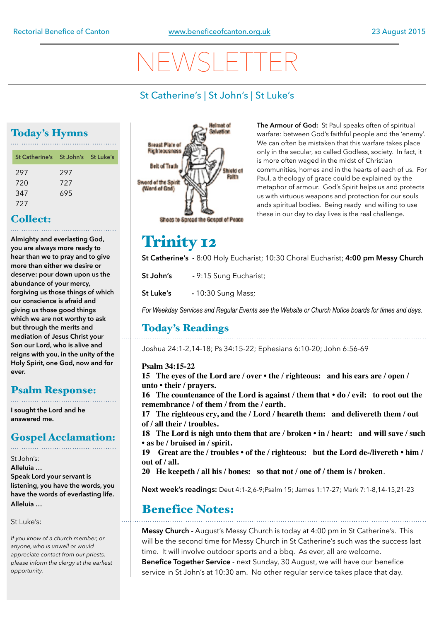# NEWSLETTER

### St Catherine's | St John's | St Luke's

### Today's Hymns

| St Catherine's St John's St Luke's |     |  |
|------------------------------------|-----|--|
| 297                                | 297 |  |
| 720                                | 727 |  |
| 347                                | 695 |  |
| 727                                |     |  |

#### Collect:

**Almighty and everlasting God, you are always more ready to hear than we to pray and to give more than either we desire or deserve: pour down upon us the abundance of your mercy, forgiving us those things of which our conscience is afraid and giving us those good things which we are not worthy to ask but through the merits and mediation of Jesus Christ your Son our Lord, who is alive and reigns with you, in the unity of the Holy Spirit, one God, now and for ever.**

# Psalm Response:

**I sought the Lord and he answered me.** 

# Gospel Acclamation:

St John's: **Alleluia … Speak Lord your servant is listening, you have the words, you have the words of everlasting life. Alleluia …** 

St Luke's:

*If you know of a church member, or anyone, who is unwell or would appreciate contact from our priests, please inform the clergy at the earliest opportunity.* 



**The Armour of God:** St Paul speaks often of spiritual warfare: between God's faithful people and the 'enemy'. We can often be mistaken that this warfare takes place only in the secular, so called Godless, society. In fact, it is more often waged in the midst of Christian communities, homes and in the hearts of each of us. For Paul, a theology of grace could be explained by the metaphor of armour. God's Spirit helps us and protects us with virtuous weapons and protection for our souls ands spiritual bodies. Being ready and willing to use these in our day to day lives is the real challenge.

# Trinity 12

**St Catherine's -** 8:00 Holy Eucharist; 10:30 Choral Eucharist; **4:00 pm Messy Church** 

- **St John's** 9:15 Sung Eucharist:
- **St Luke's** 10:30 Sung Mass;

*For Weekday Services and Regular Events see the Website or Church Notice boards for times and days.*

#### Today's Readings

Joshua 24:1-2,14-18; Ps 34:15-22; Ephesians 6:10-20; John 6:56-69

#### **Psalm 34:15-22**

**15 The eyes of the Lord are / over • the / righteous: and his ears are / open / unto • their / prayers.**

**16 The countenance of the Lord is against / them that • do / evil: to root out the remembrance / of them / from the / earth.**

**17 The righteous cry, and the / Lord / heareth them: and delivereth them / out of / all their / troubles.**

**18 The Lord is nigh unto them that are / broken • in / heart: and will save / such • as be / bruised in / spirit.**

**19 Great are the / troubles • of the / righteous: but the Lord de-/livereth • him / out of / all.**

**20 He keepeth / all his / bones: so that not / one of / them is / broken**.

**Next week's readings:** Deut 4:1-2,6-9;Psalm 15; James 1:17-27; Mark 7:1-8,14-15,21-23

# Benefice Notes:

**Messy Church -** August's Messy Church is today at 4:00 pm in St Catherine's. This will be the second time for Messy Church in St Catherine's such was the success last time. It will involve outdoor sports and a bbq. As ever, all are welcome. **Benefice Together Service** - next Sunday, 30 August, we will have our benefice

service in St John's at 10:30 am. No other regular service takes place that day.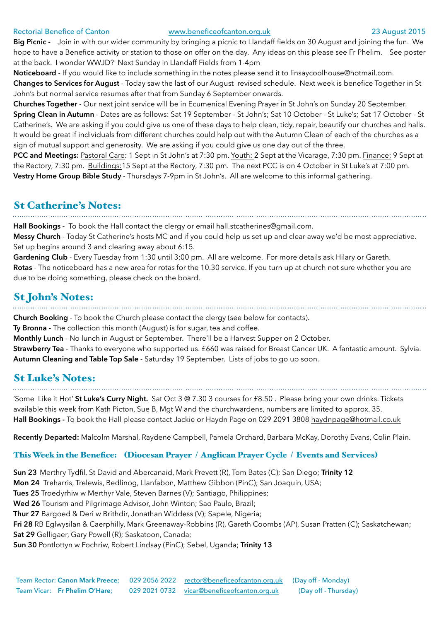#### Rectorial Benefice of Canton [www.beneficeofcanton.org.uk](http://www.beneficeofcanton.org.uk) 23 August 2015

**Big Picnic -** Join in with our wider community by bringing a picnic to Llandaff fields on 30 August and joining the fun. We hope to have a Benefice activity or station to those on offer on the day. Any ideas on this please see Fr Phelim. See poster at the back. I wonder WWJD? Next Sunday in Llandaff Fields from 1-4pm

**Noticeboard** - If you would like to include something in the notes please send it to [linsaycoolhouse@hotmail.com](mailto:linsaycoolhouse@hotmail.com).

**Changes to Services for August** - Today saw the last of our August revised schedule. Next week is benefice Together in St John's but normal service resumes after that from Sunday 6 September onwards.

**Churches Together** - Our next joint service will be in Ecumenical Evening Prayer in St John's on Sunday 20 September. **Spring Clean in Autumn** - Dates are as follows: Sat 19 September - St John's; Sat 10 October - St Luke's; Sat 17 October - St Catherine's. We are asking if you could give us one of these days to help clean, tidy, repair, beautify our churches and halls. It would be great if individuals from different churches could help out with the Autumn Clean of each of the churches as a sign of mutual support and generosity. We are asking if you could give us one day out of the three.

PCC and Meetings: Pastoral Care: 1 Sept in St John's at 7:30 pm. Youth: 2 Sept at the Vicarage, 7:30 pm. Finance: 9 Sept at the Rectory, 7:30 pm. Buildings:15 Sept at the Rectory, 7:30 pm. The next PCC is on 4 October in St Luke's at 7:00 pm. **Vestry Home Group Bible Study** - Thursdays 7-9pm in St John's. All are welcome to this informal gathering.

#### St Catherine's Notes:

**Hall Bookings -** To book the Hall contact the clergy or email [hall.stcatherines@gmail.com](mailto:hall.stcatherines@gmail.com).

**Messy Church** - Today St Catherine's hosts MC and if you could help us set up and clear away we'd be most appreciative. Set up begins around 3 and clearing away about 6:15.

**Gardening Club** - Every Tuesday from 1:30 until 3:00 pm. All are welcome. For more details ask Hilary or Gareth. **Rotas** - The noticeboard has a new area for rotas for the 10.30 service. If you turn up at church not sure whether you are due to be doing something, please check on the board.

# St John's Notes:

**Church Booking** - To book the Church please contact the clergy (see below for contacts).

**Ty Bronna -** The collection this month (August) is for sugar, tea and coffee.

**Monthly Lunch** - No lunch in August or September. There'll be a Harvest Supper on 2 October.

**Strawberry Tea** - Thanks to everyone who supported us. £660 was raised for Breast Cancer UK. A fantastic amount. Sylvia. **Autumn Cleaning and Table Top Sale** - Saturday 19 September. Lists of jobs to go up soon.

#### St Luke's Notes:

'Some Like it Hot' **St Luke's Curry Night.** Sat Oct 3 @ 7.30 3 courses for £8.50 . Please bring your own drinks. Tickets available this week from Kath Picton, Sue B, Mgt W and the churchwardens, numbers are limited to approx. 35. **Hall Bookings -** To book the Hall please contact Jackie or Haydn Page on 029 2091 3808 [haydnpage@hotmail.co.uk](mailto:haydnpage@hotmail.co.uk)

**Recently Departed:** Malcolm Marshal, Raydene Campbell, Pamela Orchard, Barbara McKay, Dorothy Evans, Colin Plain.

#### This Week in the Benefice: (Diocesan Prayer / Anglican Prayer Cycle / Events and Services)

**Sun 23** Merthry Tydfil, St David and Abercanaid, Mark Prevett (R), Tom Bates (C); San Diego; **Trinity 12**

**Mon 24** Treharris, Trelewis, Bedlinog, Llanfabon, Matthew Gibbon (PinC); San Joaquin, USA;

**Tues 25** Troedyrhiw w Merthyr Vale, Steven Barnes (V); Santiago, Philippines;

**Wed 26** Tourism and Pilgrimage Advisor, John Winton; Sao Paulo, Brazil;

**Thur 27** Bargoed & Deri w Brithdir, Jonathan Widdess (V); Sapele, Nigeria;

**Fri 28** RB Eglwysilan & Caerphilly, Mark Greenaway-Robbins (R), Gareth Coombs (AP), Susan Pratten (C); Saskatchewan;

**Sat 29** Gelligaer, Gary Powell (R); Saskatoon, Canada;

**Sun 30** Pontlottyn w Fochriw, Robert Lindsay (PinC); Sebel, Uganda; **Trinity 13**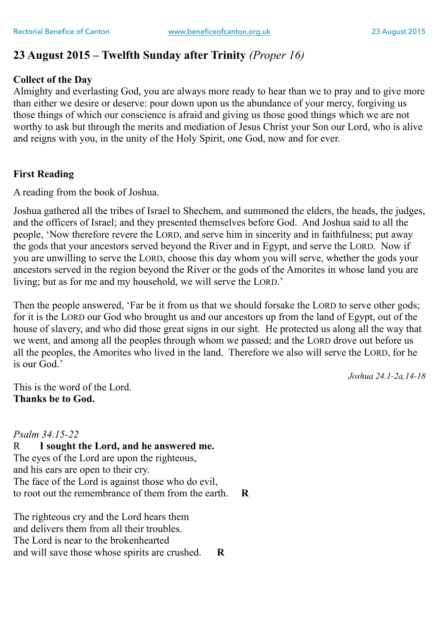### **23 August 2015 – Twelfth Sunday after Trinity** *(Proper 16)*

#### **Collect of the Day**

Almighty and everlasting God, you are always more ready to hear than we to pray and to give more than either we desire or deserve: pour down upon us the abundance of your mercy, forgiving us those things of which our conscience is afraid and giving us those good things which we are not worthy to ask but through the merits and mediation of Jesus Christ your Son our Lord, who is alive and reigns with you, in the unity of the Holy Spirit, one God, now and for ever.

#### **First Reading**

A reading from the book of Joshua.

Joshua gathered all the tribes of Israel to Shechem, and summoned the elders, the heads, the judges, and the officers of Israel; and they presented themselves before God. And Joshua said to all the people, 'Now therefore revere the LORD, and serve him in sincerity and in faithfulness; put away the gods that your ancestors served beyond the River and in Egypt, and serve the LORD. Now if you are unwilling to serve the LORD, choose this day whom you will serve, whether the gods your ancestors served in the region beyond the River or the gods of the Amorites in whose land you are living; but as for me and my household, we will serve the LORD.'

Then the people answered, 'Far be it from us that we should forsake the LORD to serve other gods; for it is the LORD our God who brought us and our ancestors up from the land of Egypt, out of the house of slavery, and who did those great signs in our sight. He protected us along all the way that we went, and among all the peoples through whom we passed; and the LORD drove out before us all the peoples, the Amorites who lived in the land. Therefore we also will serve the LORD, for he is our God.'

*Joshua 24.1-2a,14-18*

This is the word of the Lord. **Thanks be to God.**

#### *Psalm 34.15-22*

R **I sought the Lord, and he answered me.** The eyes of the Lord are upon the righteous, and his ears are open to their cry. The face of the Lord is against those who do evil, to root out the remembrance of them from the earth. **R**

The righteous cry and the Lord hears them and delivers them from all their troubles. The Lord is near to the brokenhearted and will save those whose spirits are crushed. **R**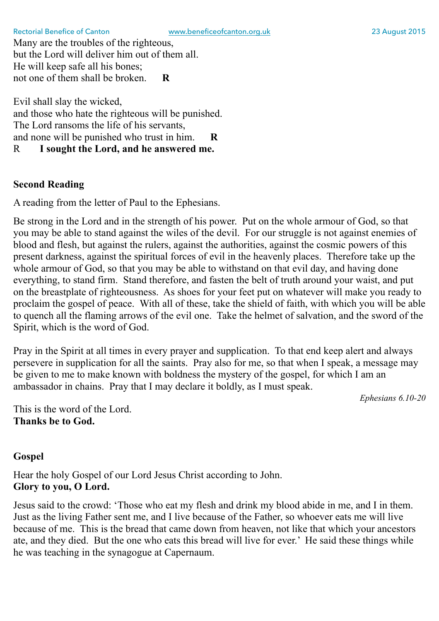Many are the troubles of the righteous, but the Lord will deliver him out of them all. He will keep safe all his bones; not one of them shall be broken. **R** 

Evil shall slay the wicked, and those who hate the righteous will be punished. The Lord ransoms the life of his servants, and none will be punished who trust in him. **R** R **I sought the Lord, and he answered me.**

#### **Second Reading**

A reading from the letter of Paul to the Ephesians.

Be strong in the Lord and in the strength of his power. Put on the whole armour of God, so that you may be able to stand against the wiles of the devil. For our struggle is not against enemies of blood and flesh, but against the rulers, against the authorities, against the cosmic powers of this present darkness, against the spiritual forces of evil in the heavenly places. Therefore take up the whole armour of God, so that you may be able to withstand on that evil day, and having done everything, to stand firm. Stand therefore, and fasten the belt of truth around your waist, and put on the breastplate of righteousness. As shoes for your feet put on whatever will make you ready to proclaim the gospel of peace. With all of these, take the shield of faith, with which you will be able to quench all the flaming arrows of the evil one. Take the helmet of salvation, and the sword of the Spirit, which is the word of God.

Pray in the Spirit at all times in every prayer and supplication. To that end keep alert and always persevere in supplication for all the saints. Pray also for me, so that when I speak, a message may be given to me to make known with boldness the mystery of the gospel, for which I am an ambassador in chains. Pray that I may declare it boldly, as I must speak.

*Ephesians 6.10-20*

This is the word of the Lord. **Thanks be to God.**

#### **Gospel**

Hear the holy Gospel of our Lord Jesus Christ according to John. **Glory to you, O Lord.**

Jesus said to the crowd: 'Those who eat my flesh and drink my blood abide in me, and I in them. Just as the living Father sent me, and I live because of the Father, so whoever eats me will live because of me. This is the bread that came down from heaven, not like that which your ancestors ate, and they died. But the one who eats this bread will live for ever.' He said these things while he was teaching in the synagogue at Capernaum.